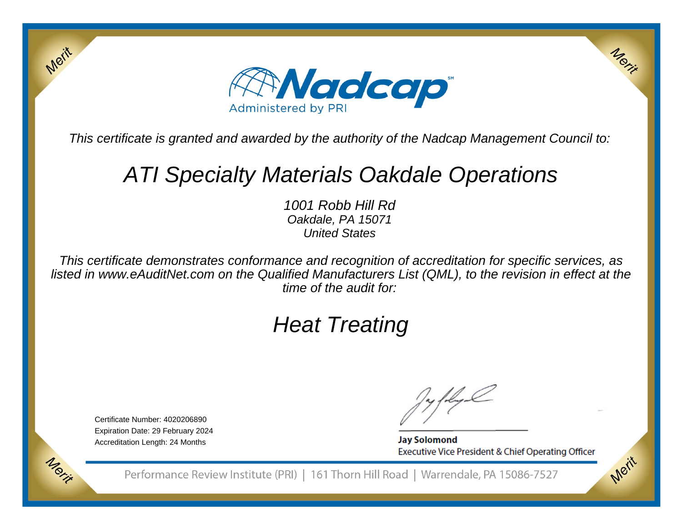

This certificate is granted and awarded by the authority of the Nadcap Management Council to:

## ATI Specialty Materials Oakdale Operations

1001 Robb Hill Rd Oakdale, PA 15071United States

This certificate demonstrates conformance and recognition of accreditation for specific services, as listed in www.eAuditNet.com on the Qualified Manufacturers List (QML), to the revision in effect at thetime of the audit for:

# Heat Treating

Certificate Number: 4020206890 Expiration Date: 29 February 2024Accreditation Length: 24 Months

Merit

Morie

**Jay Solomond** Executive Vice President & Chief Operating Officer Merix

Merit

Performance Review Institute (PRI) | 161 Thorn Hill Road | Warrendale, PA 15086-7527